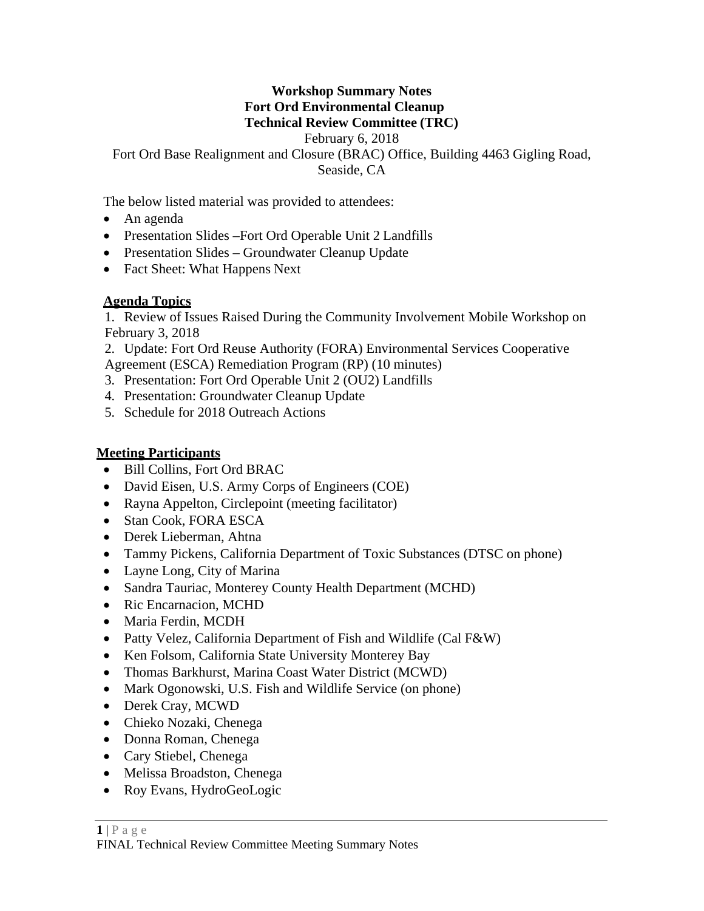#### **Workshop Summary Notes Fort Ord Environmental Cleanup Technical Review Committee (TRC)**

February 6, 2018

Fort Ord Base Realignment and Closure (BRAC) Office, Building 4463 Gigling Road,

Seaside, CA

The below listed material was provided to attendees:

- An agenda
- Presentation Slides Fort Ord Operable Unit 2 Landfills
- Presentation Slides Groundwater Cleanup Update
- Fact Sheet: What Happens Next

## **Agenda Topics**

1. Review of Issues Raised During the Community Involvement Mobile Workshop on February 3, 2018

2. Update: Fort Ord Reuse Authority (FORA) Environmental Services Cooperative

Agreement (ESCA) Remediation Program (RP) (10 minutes)

- 3. Presentation: Fort Ord Operable Unit 2 (OU2) Landfills
- 4. Presentation: Groundwater Cleanup Update
- 5. Schedule for 2018 Outreach Actions

# **Meeting Participants**

- Bill Collins, Fort Ord BRAC
- David Eisen, U.S. Army Corps of Engineers (COE)
- Rayna Appelton, Circlepoint (meeting facilitator)
- Stan Cook, FORA ESCA
- Derek Lieberman, Ahtna
- Tammy Pickens, California Department of Toxic Substances (DTSC on phone)
- Layne Long, City of Marina
- Sandra Tauriac, Monterey County Health Department (MCHD)
- Ric Encarnacion, MCHD
- Maria Ferdin, MCDH
- Patty Velez, California Department of Fish and Wildlife (Cal F&W)
- Ken Folsom, California State University Monterey Bay
- Thomas Barkhurst, Marina Coast Water District (MCWD)
- Mark Ogonowski, U.S. Fish and Wildlife Service (on phone)
- Derek Cray, MCWD
- Chieko Nozaki, Chenega
- Donna Roman, Chenega
- Cary Stiebel, Chenega
- Melissa Broadston, Chenega
- Roy Evans, HydroGeoLogic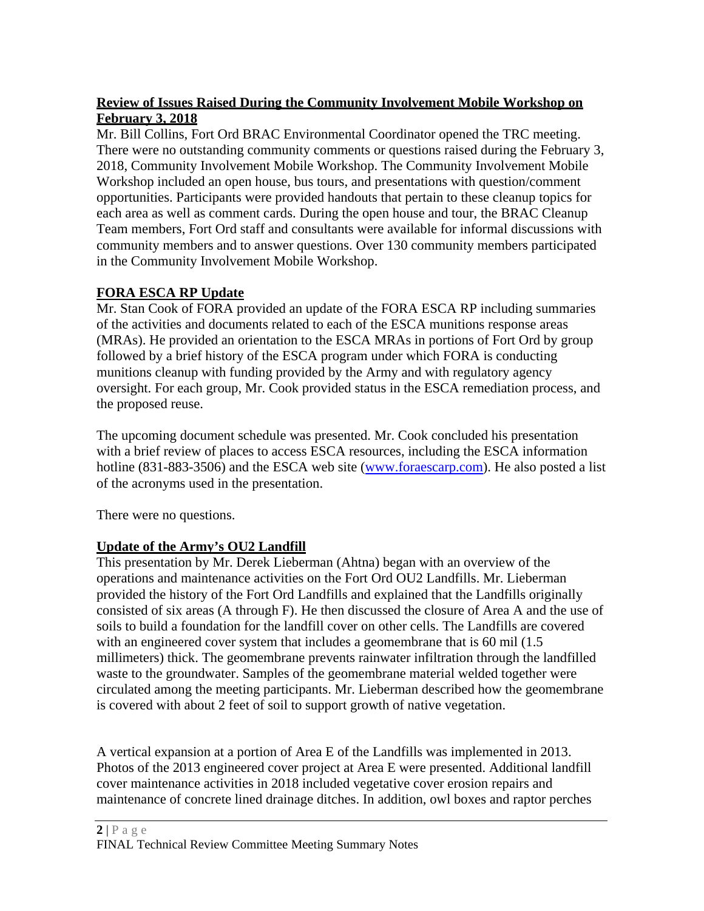### **Review of Issues Raised During the Community Involvement Mobile Workshop on February 3, 2018**

Mr. Bill Collins, Fort Ord BRAC Environmental Coordinator opened the TRC meeting. There were no outstanding community comments or questions raised during the February 3, 2018, Community Involvement Mobile Workshop. The Community Involvement Mobile Workshop included an open house, bus tours, and presentations with question/comment opportunities. Participants were provided handouts that pertain to these cleanup topics for each area as well as comment cards. During the open house and tour, the BRAC Cleanup Team members, Fort Ord staff and consultants were available for informal discussions with community members and to answer questions. Over 130 community members participated in the Community Involvement Mobile Workshop.

### **FORA ESCA RP Update**

Mr. Stan Cook of FORA provided an update of the FORA ESCA RP including summaries of the activities and documents related to each of the ESCA munitions response areas (MRAs). He provided an orientation to the ESCA MRAs in portions of Fort Ord by group followed by a brief history of the ESCA program under which FORA is conducting munitions cleanup with funding provided by the Army and with regulatory agency oversight. For each group, Mr. Cook provided status in the ESCA remediation process, and the proposed reuse.

The upcoming document schedule was presented. Mr. Cook concluded his presentation with a brief review of places to access ESCA resources, including the ESCA information hotline (831-883-3506) and the ESCA web site (www.foraescarp.com). He also posted a list of the acronyms used in the presentation.

There were no questions.

# **Update of the Army's OU2 Landfill**

This presentation by Mr. Derek Lieberman (Ahtna) began with an overview of the operations and maintenance activities on the Fort Ord OU2 Landfills. Mr. Lieberman provided the history of the Fort Ord Landfills and explained that the Landfills originally consisted of six areas (A through F). He then discussed the closure of Area A and the use of soils to build a foundation for the landfill cover on other cells. The Landfills are covered with an engineered cover system that includes a geomembrane that is 60 mil (1.5) millimeters) thick. The geomembrane prevents rainwater infiltration through the landfilled waste to the groundwater. Samples of the geomembrane material welded together were circulated among the meeting participants. Mr. Lieberman described how the geomembrane is covered with about 2 feet of soil to support growth of native vegetation.

A vertical expansion at a portion of Area E of the Landfills was implemented in 2013. Photos of the 2013 engineered cover project at Area E were presented. Additional landfill cover maintenance activities in 2018 included vegetative cover erosion repairs and maintenance of concrete lined drainage ditches. In addition, owl boxes and raptor perches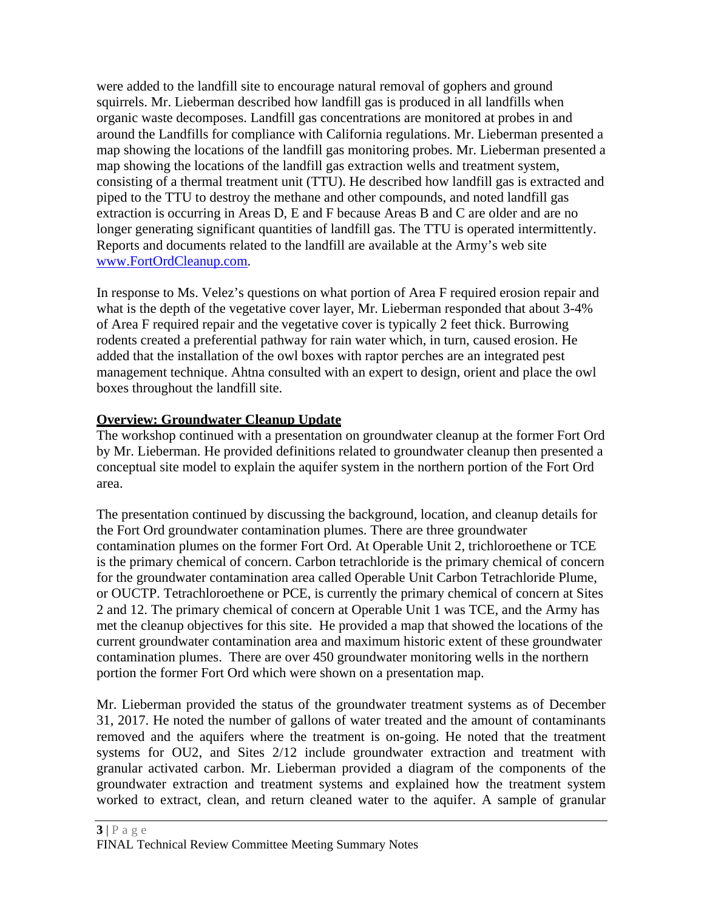were added to the landfill site to encourage natural removal of gophers and ground squirrels. Mr. Lieberman described how landfill gas is produced in all landfills when organic waste decomposes. Landfill gas concentrations are monitored at probes in and around the Landfills for compliance with California regulations. Mr. Lieberman presented a map showing the locations of the landfill gas monitoring probes. Mr. Lieberman presented a map showing the locations of the landfill gas extraction wells and treatment system, consisting of a thermal treatment unit (TTU). He described how landfill gas is extracted and piped to the TTU to destroy the methane and other compounds, and noted landfill gas extraction is occurring in Areas D, E and F because Areas B and C are older and are no longer generating significant quantities of landfill gas. The TTU is operated intermittently. Reports and documents related to the landfill are available at the Army's web site www.FortOrdCleanup.com.

In response to Ms. Velez's questions on what portion of Area F required erosion repair and what is the depth of the vegetative cover layer, Mr. Lieberman responded that about 3-4% of Area F required repair and the vegetative cover is typically 2 feet thick. Burrowing rodents created a preferential pathway for rain water which, in turn, caused erosion. He added that the installation of the owl boxes with raptor perches are an integrated pest management technique. Ahtna consulted with an expert to design, orient and place the owl boxes throughout the landfill site.

#### **Overview: Groundwater Cleanup Update**

The workshop continued with a presentation on groundwater cleanup at the former Fort Ord by Mr. Lieberman. He provided definitions related to groundwater cleanup then presented a conceptual site model to explain the aquifer system in the northern portion of the Fort Ord area.

The presentation continued by discussing the background, location, and cleanup details for the Fort Ord groundwater contamination plumes. There are three groundwater contamination plumes on the former Fort Ord. At Operable Unit 2, trichloroethene or TCE is the primary chemical of concern. Carbon tetrachloride is the primary chemical of concern for the groundwater contamination area called Operable Unit Carbon Tetrachloride Plume, or OUCTP. Tetrachloroethene or PCE, is currently the primary chemical of concern at Sites 2 and 12. The primary chemical of concern at Operable Unit 1 was TCE, and the Army has met the cleanup objectives for this site. He provided a map that showed the locations of the current groundwater contamination area and maximum historic extent of these groundwater contamination plumes. There are over 450 groundwater monitoring wells in the northern portion the former Fort Ord which were shown on a presentation map.

Mr. Lieberman provided the status of the groundwater treatment systems as of December 31, 2017. He noted the number of gallons of water treated and the amount of contaminants removed and the aquifers where the treatment is on-going. He noted that the treatment systems for OU2, and Sites 2/12 include groundwater extraction and treatment with granular activated carbon. Mr. Lieberman provided a diagram of the components of the groundwater extraction and treatment systems and explained how the treatment system worked to extract, clean, and return cleaned water to the aquifer. A sample of granular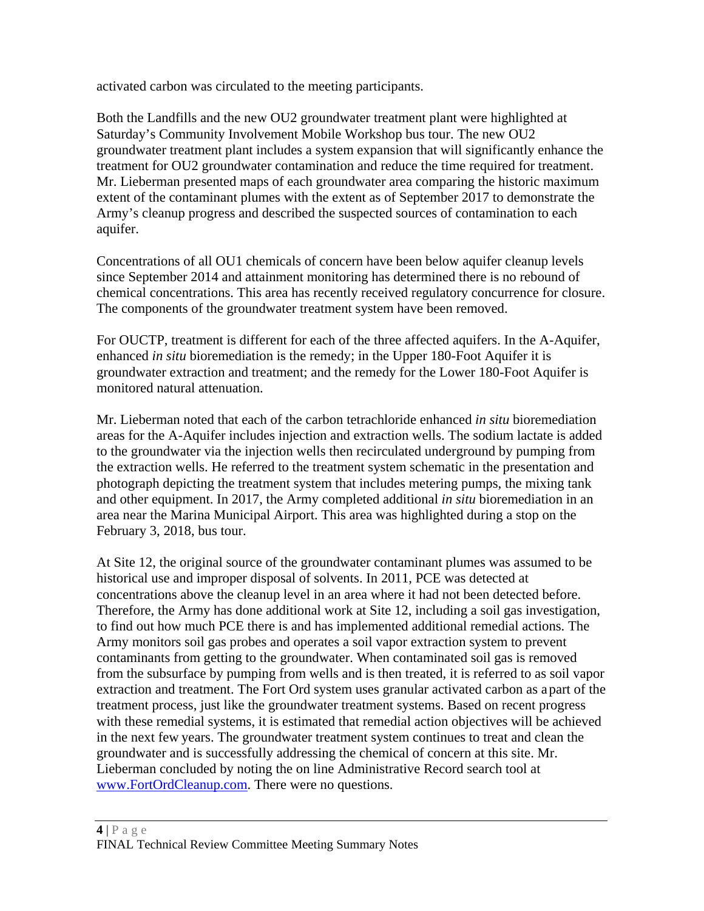activated carbon was circulated to the meeting participants.

Both the Landfills and the new OU2 groundwater treatment plant were highlighted at Saturday's Community Involvement Mobile Workshop bus tour. The new OU2 groundwater treatment plant includes a system expansion that will significantly enhance the treatment for OU2 groundwater contamination and reduce the time required for treatment. Mr. Lieberman presented maps of each groundwater area comparing the historic maximum extent of the contaminant plumes with the extent as of September 2017 to demonstrate the Army's cleanup progress and described the suspected sources of contamination to each aquifer.

Concentrations of all OU1 chemicals of concern have been below aquifer cleanup levels since September 2014 and attainment monitoring has determined there is no rebound of chemical concentrations. This area has recently received regulatory concurrence for closure. The components of the groundwater treatment system have been removed.

For OUCTP, treatment is different for each of the three affected aquifers. In the A-Aquifer, enhanced *in situ* bioremediation is the remedy; in the Upper 180-Foot Aquifer it is groundwater extraction and treatment; and the remedy for the Lower 180-Foot Aquifer is monitored natural attenuation.

Mr. Lieberman noted that each of the carbon tetrachloride enhanced *in situ* bioremediation areas for the A-Aquifer includes injection and extraction wells. The sodium lactate is added to the groundwater via the injection wells then recirculated underground by pumping from the extraction wells. He referred to the treatment system schematic in the presentation and photograph depicting the treatment system that includes metering pumps, the mixing tank and other equipment. In 2017, the Army completed additional *in situ* bioremediation in an area near the Marina Municipal Airport. This area was highlighted during a stop on the February 3, 2018, bus tour.

At Site 12, the original source of the groundwater contaminant plumes was assumed to be historical use and improper disposal of solvents. In 2011, PCE was detected at concentrations above the cleanup level in an area where it had not been detected before. Therefore, the Army has done additional work at Site 12, including a soil gas investigation, to find out how much PCE there is and has implemented additional remedial actions. The Army monitors soil gas probes and operates a soil vapor extraction system to prevent contaminants from getting to the groundwater. When contaminated soil gas is removed from the subsurface by pumping from wells and is then treated, it is referred to as soil vapor extraction and treatment. The Fort Ord system uses granular activated carbon as a part of the treatment process, just like the groundwater treatment systems. Based on recent progress with these remedial systems, it is estimated that remedial action objectives will be achieved in the next few years. The groundwater treatment system continues to treat and clean the groundwater and is successfully addressing the chemical of concern at this site. Mr. Lieberman concluded by noting the on line Administrative Record search tool at www.FortOrdCleanup.com. There were no questions.